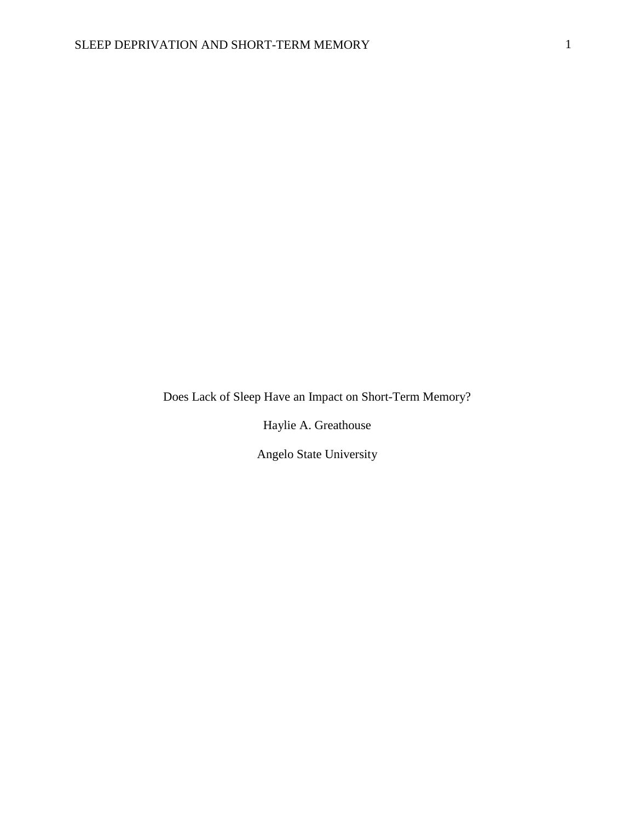Does Lack of Sleep Have an Impact on Short-Term Memory?

Haylie A. Greathouse

Angelo State University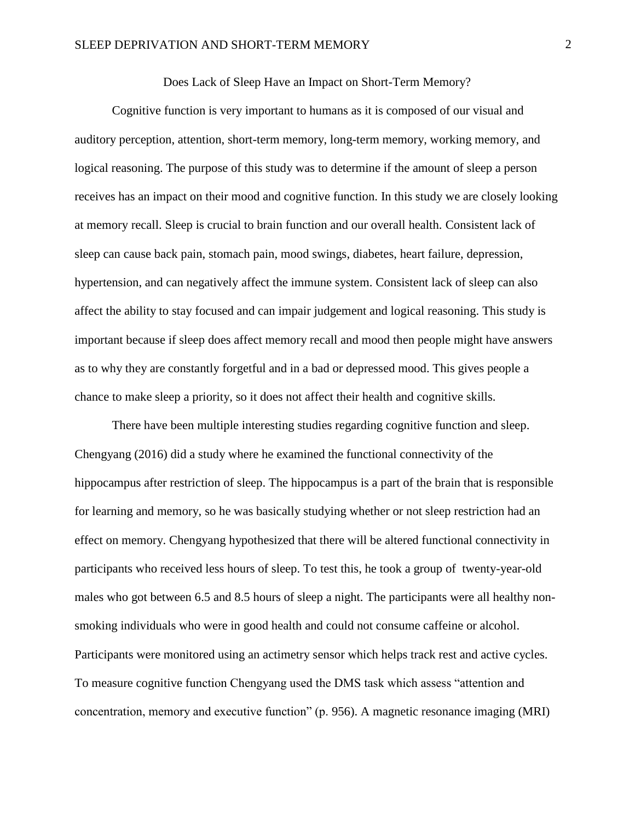Does Lack of Sleep Have an Impact on Short-Term Memory?

Cognitive function is very important to humans as it is composed of our visual and auditory perception, attention, short-term memory, long-term memory, working memory, and logical reasoning. The purpose of this study was to determine if the amount of sleep a person receives has an impact on their mood and cognitive function. In this study we are closely looking at memory recall. Sleep is crucial to brain function and our overall health. Consistent lack of sleep can cause back pain, stomach pain, mood swings, diabetes, heart failure, depression, hypertension, and can negatively affect the immune system. Consistent lack of sleep can also affect the ability to stay focused and can impair judgement and logical reasoning. This study is important because if sleep does affect memory recall and mood then people might have answers as to why they are constantly forgetful and in a bad or depressed mood. This gives people a chance to make sleep a priority, so it does not affect their health and cognitive skills.

There have been multiple interesting studies regarding cognitive function and sleep. Chengyang (2016) did a study where he examined the functional connectivity of the hippocampus after restriction of sleep. The hippocampus is a part of the brain that is responsible for learning and memory, so he was basically studying whether or not sleep restriction had an effect on memory. Chengyang hypothesized that there will be altered functional connectivity in participants who received less hours of sleep. To test this, he took a group of twenty-year-old males who got between 6.5 and 8.5 hours of sleep a night. The participants were all healthy nonsmoking individuals who were in good health and could not consume caffeine or alcohol. Participants were monitored using an actimetry sensor which helps track rest and active cycles. To measure cognitive function Chengyang used the DMS task which assess "attention and concentration, memory and executive function" (p. 956). A magnetic resonance imaging (MRI)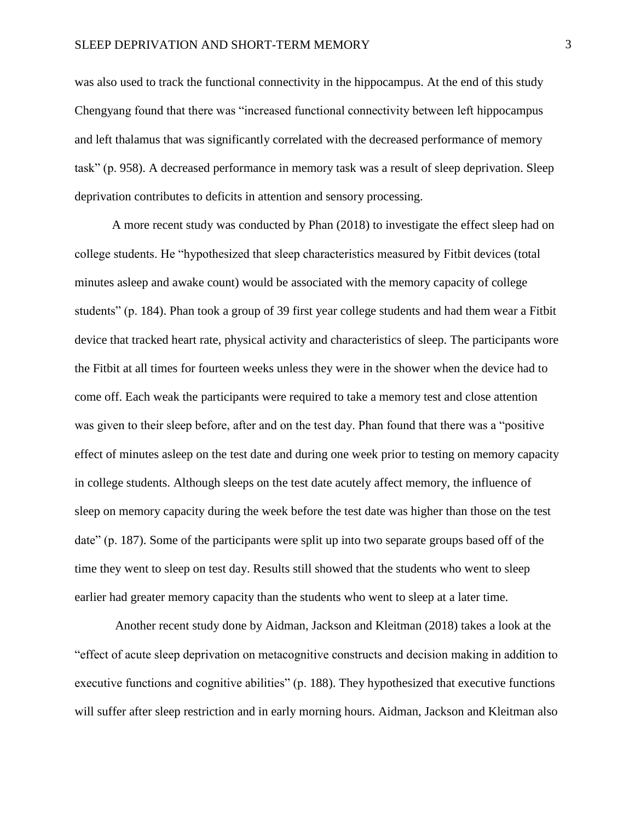was also used to track the functional connectivity in the hippocampus. At the end of this study Chengyang found that there was "increased functional connectivity between left hippocampus and left thalamus that was significantly correlated with the decreased performance of memory task" (p. 958). A decreased performance in memory task was a result of sleep deprivation. Sleep deprivation contributes to deficits in attention and sensory processing.

A more recent study was conducted by Phan (2018) to investigate the effect sleep had on college students. He "hypothesized that sleep characteristics measured by Fitbit devices (total minutes asleep and awake count) would be associated with the memory capacity of college students" (p. 184). Phan took a group of 39 first year college students and had them wear a Fitbit device that tracked heart rate, physical activity and characteristics of sleep. The participants wore the Fitbit at all times for fourteen weeks unless they were in the shower when the device had to come off. Each weak the participants were required to take a memory test and close attention was given to their sleep before, after and on the test day. Phan found that there was a "positive effect of minutes asleep on the test date and during one week prior to testing on memory capacity in college students. Although sleeps on the test date acutely affect memory, the influence of sleep on memory capacity during the week before the test date was higher than those on the test date" (p. 187). Some of the participants were split up into two separate groups based off of the time they went to sleep on test day. Results still showed that the students who went to sleep earlier had greater memory capacity than the students who went to sleep at a later time.

Another recent study done by Aidman, Jackson and Kleitman (2018) takes a look at the "effect of acute sleep deprivation on metacognitive constructs and decision making in addition to executive functions and cognitive abilities" (p. 188). They hypothesized that executive functions will suffer after sleep restriction and in early morning hours. Aidman, Jackson and Kleitman also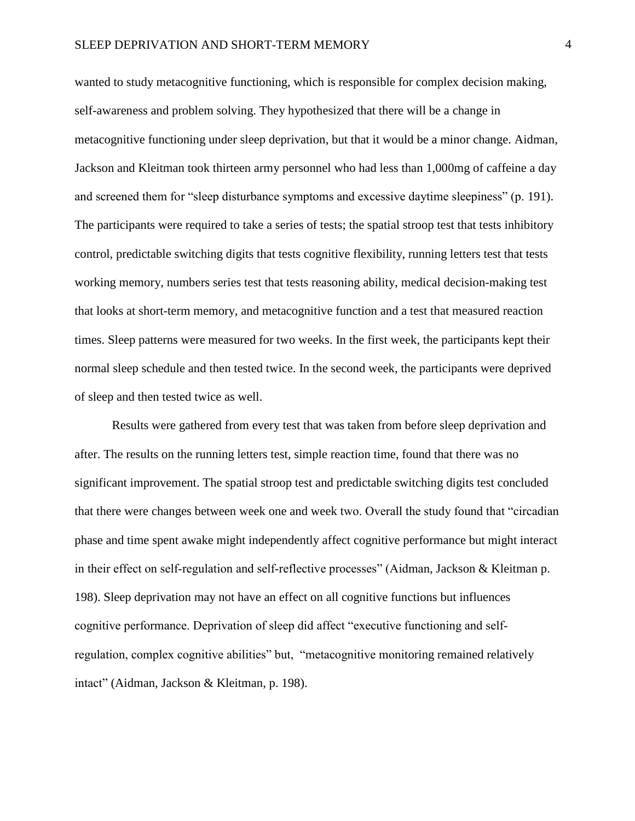wanted to study metacognitive functioning, which is responsible for complex decision making, self-awareness and problem solving. They hypothesized that there will be a change in metacognitive functioning under sleep deprivation, but that it would be a minor change. Aidman, Jackson and Kleitman took thirteen army personnel who had less than 1,000mg of caffeine a day and screened them for "sleep disturbance symptoms and excessive daytime sleepiness" (p. 191). The participants were required to take a series of tests; the spatial stroop test that tests inhibitory control, predictable switching digits that tests cognitive flexibility, running letters test that tests working memory, numbers series test that tests reasoning ability, medical decision-making test that looks at short-term memory, and metacognitive function and a test that measured reaction times. Sleep patterns were measured for two weeks. In the first week, the participants kept their normal sleep schedule and then tested twice. In the second week, the participants were deprived of sleep and then tested twice as well.

Results were gathered from every test that was taken from before sleep deprivation and after. The results on the running letters test, simple reaction time, found that there was no significant improvement. The spatial stroop test and predictable switching digits test concluded that there were changes between week one and week two. Overall the study found that "circadian phase and time spent awake might independently affect cognitive performance but might interact in their effect on self-regulation and self-reflective processes" (Aidman, Jackson & Kleitman p. 198). Sleep deprivation may not have an effect on all cognitive functions but influences cognitive performance. Deprivation of sleep did affect "executive functioning and self‐ regulation, complex cognitive abilities" but, "metacognitive monitoring remained relatively intact" (Aidman, Jackson & Kleitman, p. 198).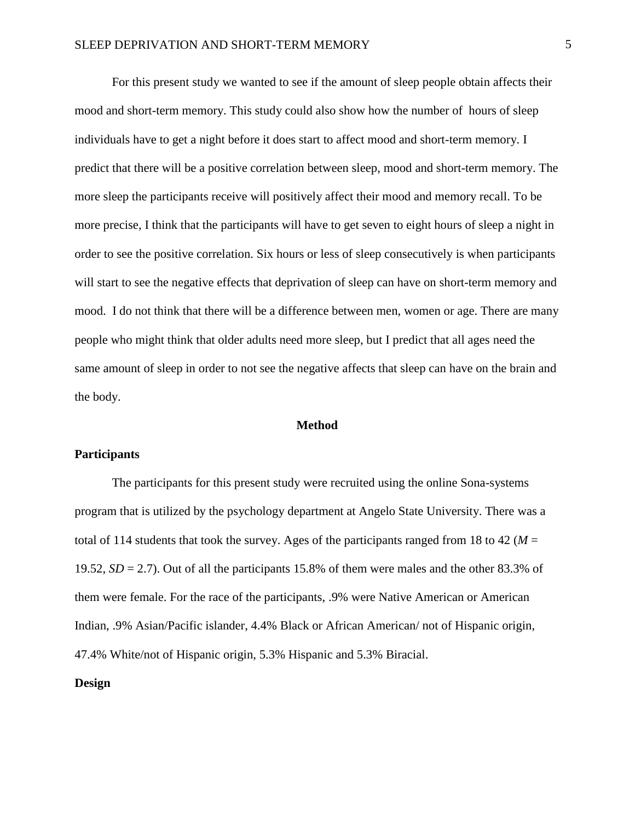For this present study we wanted to see if the amount of sleep people obtain affects their mood and short-term memory. This study could also show how the number of hours of sleep individuals have to get a night before it does start to affect mood and short-term memory. I predict that there will be a positive correlation between sleep, mood and short-term memory. The more sleep the participants receive will positively affect their mood and memory recall. To be more precise, I think that the participants will have to get seven to eight hours of sleep a night in order to see the positive correlation. Six hours or less of sleep consecutively is when participants will start to see the negative effects that deprivation of sleep can have on short-term memory and mood. I do not think that there will be a difference between men, women or age. There are many people who might think that older adults need more sleep, but I predict that all ages need the same amount of sleep in order to not see the negative affects that sleep can have on the brain and the body.

### **Method**

## **Participants**

The participants for this present study were recruited using the online Sona-systems program that is utilized by the psychology department at Angelo State University. There was a total of 114 students that took the survey. Ages of the participants ranged from 18 to 42 ( $M =$ 19.52, *SD* = 2.7). Out of all the participants 15.8% of them were males and the other 83.3% of them were female. For the race of the participants, .9% were Native American or American Indian, .9% Asian/Pacific islander, 4.4% Black or African American/ not of Hispanic origin, 47.4% White/not of Hispanic origin, 5.3% Hispanic and 5.3% Biracial.

# **Design**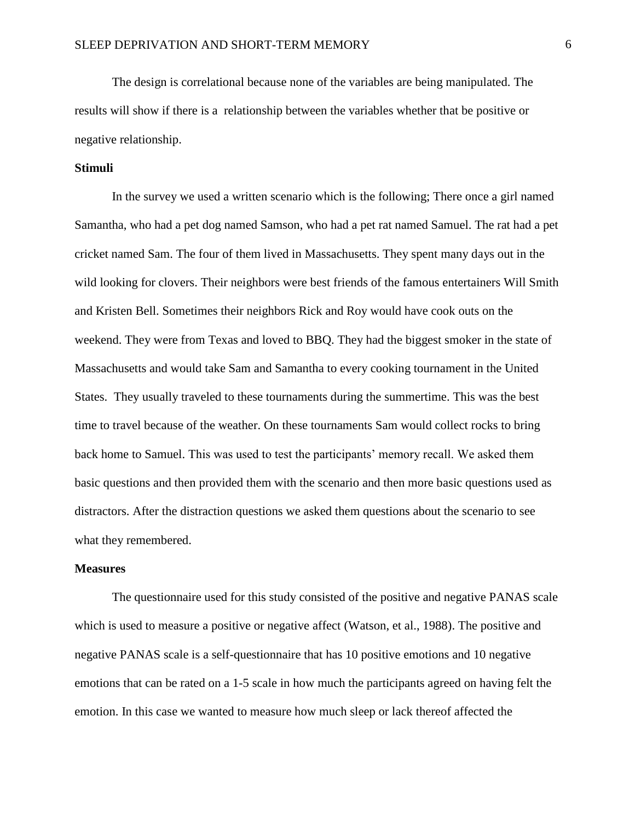The design is correlational because none of the variables are being manipulated. The results will show if there is a relationship between the variables whether that be positive or negative relationship.

## **Stimuli**

In the survey we used a written scenario which is the following; There once a girl named Samantha, who had a pet dog named Samson, who had a pet rat named Samuel. The rat had a pet cricket named Sam. The four of them lived in Massachusetts. They spent many days out in the wild looking for clovers. Their neighbors were best friends of the famous entertainers Will Smith and Kristen Bell. Sometimes their neighbors Rick and Roy would have cook outs on the weekend. They were from Texas and loved to BBQ. They had the biggest smoker in the state of Massachusetts and would take Sam and Samantha to every cooking tournament in the United States. They usually traveled to these tournaments during the summertime. This was the best time to travel because of the weather. On these tournaments Sam would collect rocks to bring back home to Samuel. This was used to test the participants' memory recall. We asked them basic questions and then provided them with the scenario and then more basic questions used as distractors. After the distraction questions we asked them questions about the scenario to see what they remembered.

#### **Measures**

The questionnaire used for this study consisted of the positive and negative PANAS scale which is used to measure a positive or negative affect (Watson, et al., 1988). The positive and negative PANAS scale is a self-questionnaire that has 10 positive emotions and 10 negative emotions that can be rated on a 1-5 scale in how much the participants agreed on having felt the emotion. In this case we wanted to measure how much sleep or lack thereof affected the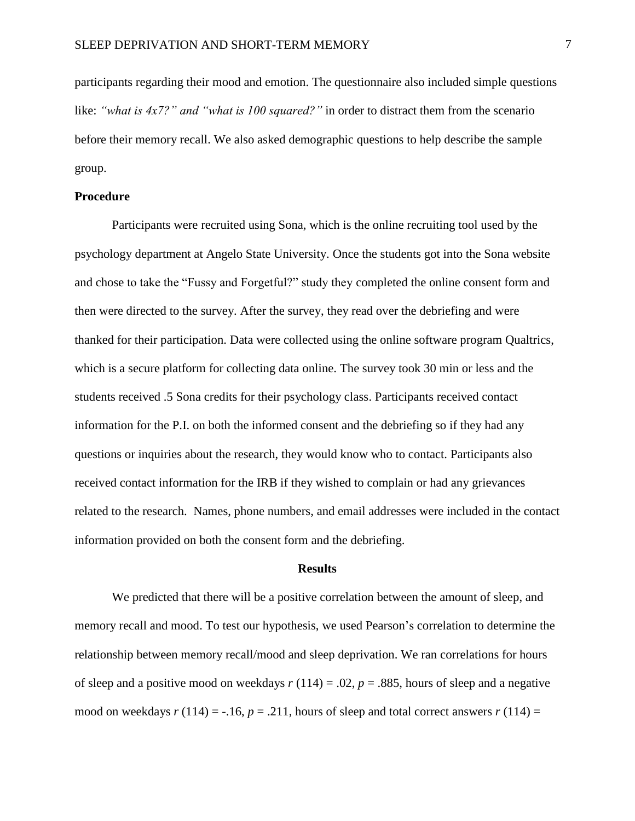participants regarding their mood and emotion. The questionnaire also included simple questions like: *"what is 4x7?" and "what is 100 squared?"* in order to distract them from the scenario before their memory recall. We also asked demographic questions to help describe the sample group.

## **Procedure**

Participants were recruited using Sona, which is the online recruiting tool used by the psychology department at Angelo State University. Once the students got into the Sona website and chose to take the "Fussy and Forgetful?" study they completed the online consent form and then were directed to the survey. After the survey, they read over the debriefing and were thanked for their participation. Data were collected using the online software program Qualtrics, which is a secure platform for collecting data online. The survey took 30 min or less and the students received .5 Sona credits for their psychology class. Participants received contact information for the P.I. on both the informed consent and the debriefing so if they had any questions or inquiries about the research, they would know who to contact. Participants also received contact information for the IRB if they wished to complain or had any grievances related to the research. Names, phone numbers, and email addresses were included in the contact information provided on both the consent form and the debriefing.

#### **Results**

We predicted that there will be a positive correlation between the amount of sleep, and memory recall and mood. To test our hypothesis, we used Pearson's correlation to determine the relationship between memory recall/mood and sleep deprivation. We ran correlations for hours of sleep and a positive mood on weekdays  $r(114) = .02$ ,  $p = .885$ , hours of sleep and a negative mood on weekdays  $r(114) = -.16$ ,  $p = .211$ , hours of sleep and total correct answers  $r(114) =$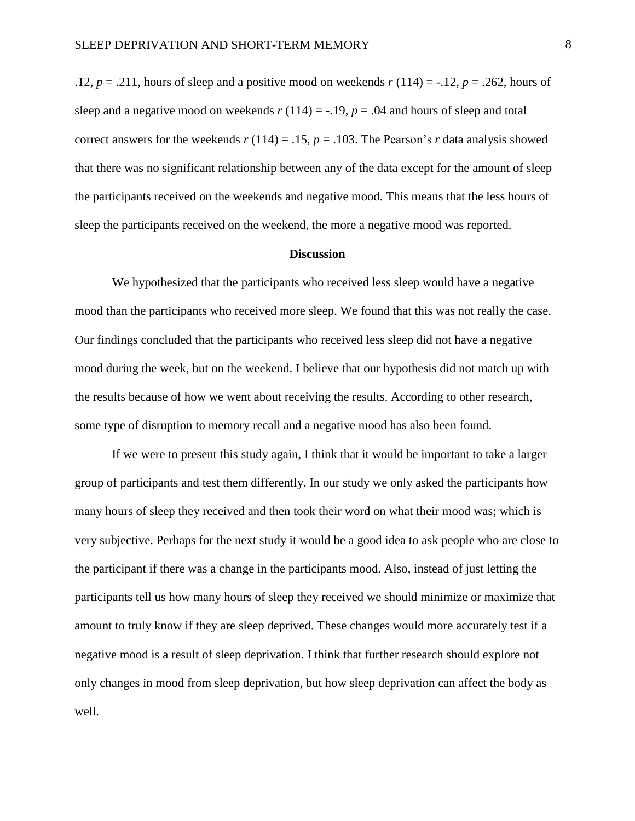.12,  $p = .211$ , hours of sleep and a positive mood on weekends  $r(114) = -.12$ ,  $p = .262$ , hours of sleep and a negative mood on weekends  $r(114) = -0.19$ ,  $p = 0.04$  and hours of sleep and total correct answers for the weekends  $r(114) = .15$ ,  $p = .103$ . The Pearson's *r* data analysis showed that there was no significant relationship between any of the data except for the amount of sleep the participants received on the weekends and negative mood. This means that the less hours of sleep the participants received on the weekend, the more a negative mood was reported.

### **Discussion**

We hypothesized that the participants who received less sleep would have a negative mood than the participants who received more sleep. We found that this was not really the case. Our findings concluded that the participants who received less sleep did not have a negative mood during the week, but on the weekend. I believe that our hypothesis did not match up with the results because of how we went about receiving the results. According to other research, some type of disruption to memory recall and a negative mood has also been found.

If we were to present this study again, I think that it would be important to take a larger group of participants and test them differently. In our study we only asked the participants how many hours of sleep they received and then took their word on what their mood was; which is very subjective. Perhaps for the next study it would be a good idea to ask people who are close to the participant if there was a change in the participants mood. Also, instead of just letting the participants tell us how many hours of sleep they received we should minimize or maximize that amount to truly know if they are sleep deprived. These changes would more accurately test if a negative mood is a result of sleep deprivation. I think that further research should explore not only changes in mood from sleep deprivation, but how sleep deprivation can affect the body as well.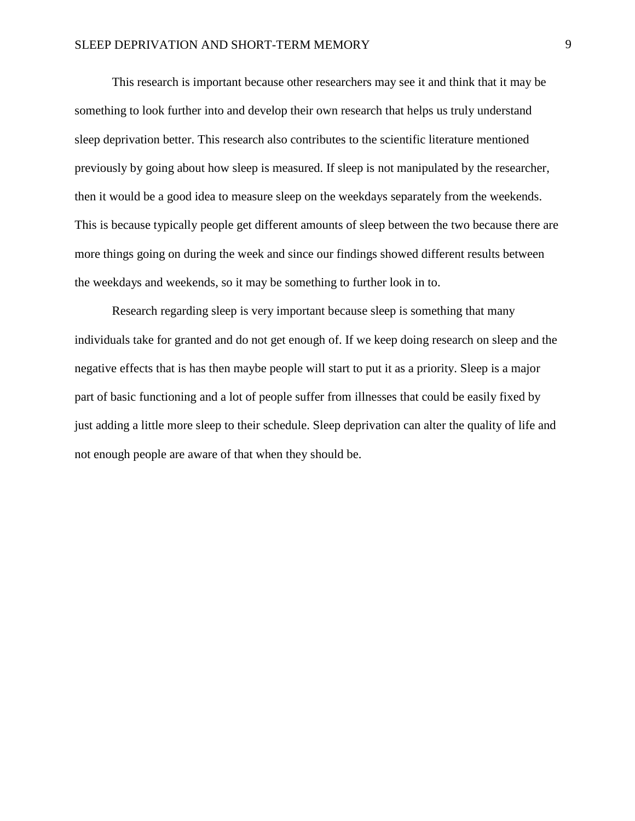This research is important because other researchers may see it and think that it may be something to look further into and develop their own research that helps us truly understand sleep deprivation better. This research also contributes to the scientific literature mentioned previously by going about how sleep is measured. If sleep is not manipulated by the researcher, then it would be a good idea to measure sleep on the weekdays separately from the weekends. This is because typically people get different amounts of sleep between the two because there are more things going on during the week and since our findings showed different results between the weekdays and weekends, so it may be something to further look in to.

Research regarding sleep is very important because sleep is something that many individuals take for granted and do not get enough of. If we keep doing research on sleep and the negative effects that is has then maybe people will start to put it as a priority. Sleep is a major part of basic functioning and a lot of people suffer from illnesses that could be easily fixed by just adding a little more sleep to their schedule. Sleep deprivation can alter the quality of life and not enough people are aware of that when they should be.